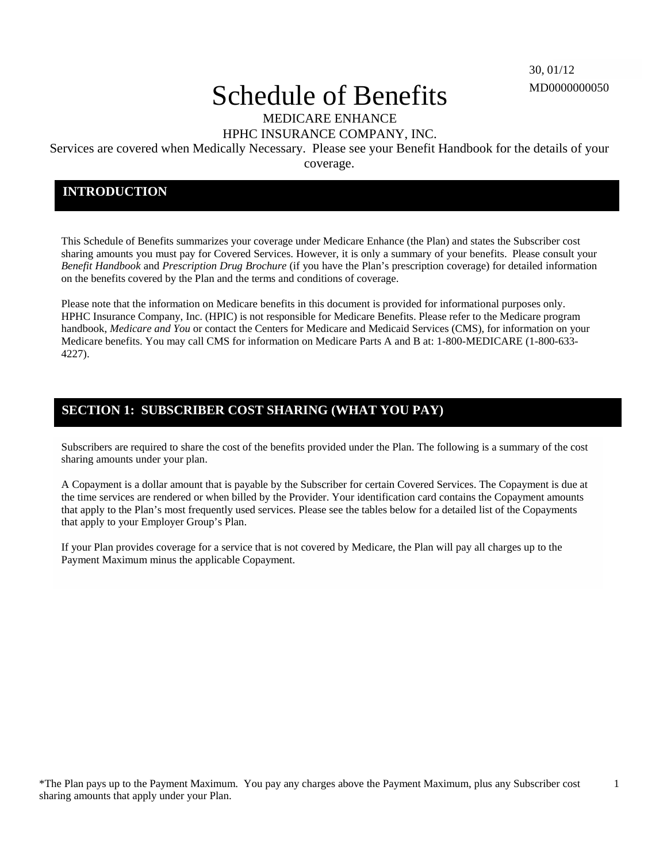1

# Schedule of Benefits

MEDICARE ENHANCE

HPHC INSURANCE COMPANY, INC.

Services are covered when Medically Necessary. Please see your Benefit Handbook for the details of your

coverage.

### **INTRODUCTION**

This Schedule of Benefits summarizes your coverage under Medicare Enhance (the Plan) and states the Subscriber cost sharing amounts you must pay for Covered Services. However, it is only a summary of your benefits. Please consult your *Benefit Handbook* and *Prescription Drug Brochure* (if you have the Plan's prescription coverage) for detailed information on the benefits covered by the Plan and the terms and conditions of coverage.

Please note that the information on Medicare benefits in this document is provided for informational purposes only. HPHC Insurance Company, Inc. (HPIC) is not responsible for Medicare Benefits. Please refer to the Medicare program handbook, *Medicare and You* or contact the Centers for Medicare and Medicaid Services (CMS), for information on your Medicare benefits. You may call CMS for information on Medicare Parts A and B at: 1-800-MEDICARE (1-800-633- 4227).

## **SECTION 1: SUBSCRIBER COST SHARING (WHAT YOU PAY)**

Subscribers are required to share the cost of the benefits provided under the Plan. The following is a summary of the cost sharing amounts under your plan.

A Copayment is a dollar amount that is payable by the Subscriber for certain Covered Services. The Copayment is due at the time services are rendered or when billed by the Provider. Your identification card contains the Copayment amounts that apply to the Plan's most frequently used services. Please see the tables below for a detailed list of the Copayments that apply to your Employer Group's Plan.

If your Plan provides coverage for a service that is not covered by Medicare, the Plan will pay all charges up to the Payment Maximum minus the applicable Copayment.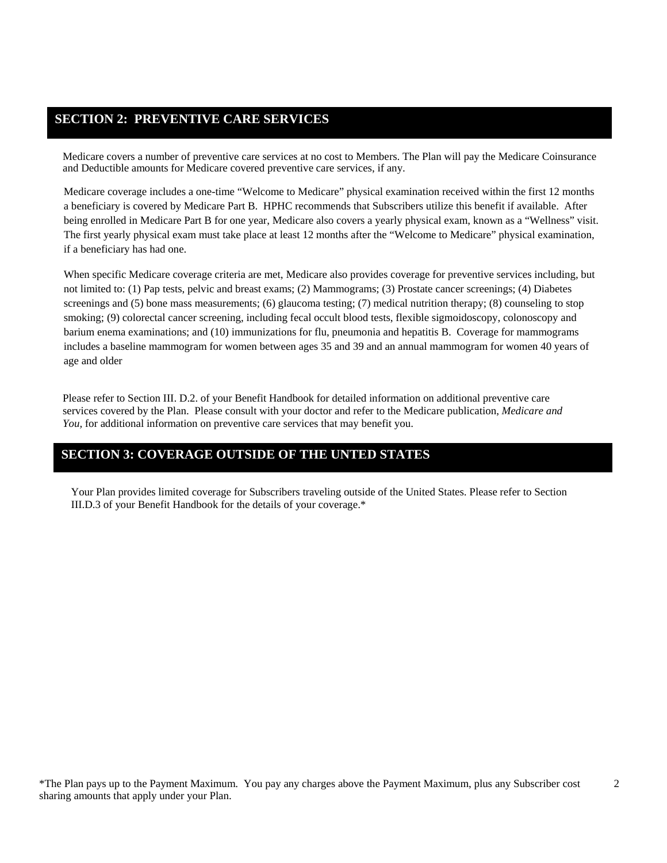## **SECTION 2: PREVENTIVE CARE SERVICES**

Medicare covers a number of preventive care services at no cost to Members. The Plan will pay the Medicare Coinsurance and Deductible amounts for Medicare covered preventive care services, if any.

Medicare coverage includes a one-time "Welcome to Medicare" physical examination received within the first 12 months a beneficiary is covered by Medicare Part B. HPHC recommends that Subscribers utilize this benefit if available. After being enrolled in Medicare Part B for one year, Medicare also covers a yearly physical exam, known as a "Wellness" visit. The first yearly physical exam must take place at least 12 months after the "Welcome to Medicare" physical examination, if a beneficiary has had one.

When specific Medicare coverage criteria are met, Medicare also provides coverage for preventive services including, but not limited to: (1) Pap tests, pelvic and breast exams; (2) Mammograms; (3) Prostate cancer screenings; (4) Diabetes screenings and (5) bone mass measurements; (6) glaucoma testing; (7) medical nutrition therapy; (8) counseling to stop smoking; (9) colorectal cancer screening, including fecal occult blood tests, flexible sigmoidoscopy, colonoscopy and barium enema examinations; and (10) immunizations for flu, pneumonia and hepatitis B. Coverage for mammograms includes a baseline mammogram for women between ages 35 and 39 and an annual mammogram for women 40 years of age and older

Please refer to Section III. D.2. of your Benefit Handbook for detailed information on additional preventive care services covered by the Plan. Please consult with your doctor and refer to the Medicare publication, *Medicare and You,* for additional information on preventive care services that may benefit you.

#### **SECTION 3: COVERAGE OUTSIDE OF THE UNTED STATES**

Your Plan provides limited coverage for Subscribers traveling outside of the United States. Please refer to Section III.D.3 of your Benefit Handbook for the details of your coverage.\*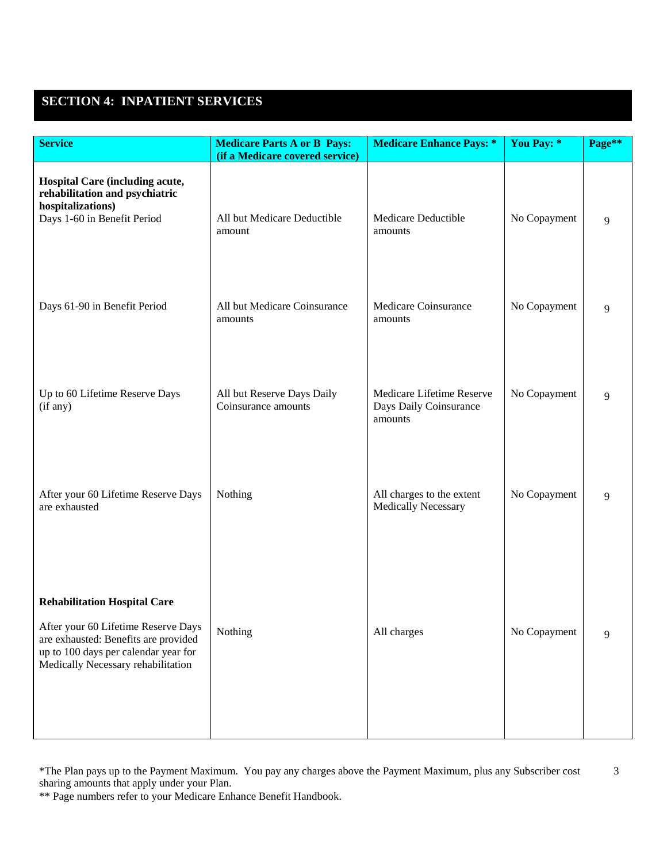# **SECTION 4: INPATIENT SERVICES**

| <b>Service</b>                                                                                                                                                                                   | <b>Medicare Parts A or B Pays:</b><br>(if a Medicare covered service) | <b>Medicare Enhance Pays: *</b>                                | You Pay: *   | Page** |
|--------------------------------------------------------------------------------------------------------------------------------------------------------------------------------------------------|-----------------------------------------------------------------------|----------------------------------------------------------------|--------------|--------|
| Hospital Care (including acute,<br>rehabilitation and psychiatric<br>hospitalizations)<br>Days 1-60 in Benefit Period                                                                            | All but Medicare Deductible<br>amount                                 | Medicare Deductible<br>amounts                                 | No Copayment | 9      |
| Days 61-90 in Benefit Period                                                                                                                                                                     | All but Medicare Coinsurance<br>amounts                               | Medicare Coinsurance<br>amounts                                | No Copayment | 9      |
| Up to 60 Lifetime Reserve Days<br>(if any)                                                                                                                                                       | All but Reserve Days Daily<br>Coinsurance amounts                     | Medicare Lifetime Reserve<br>Days Daily Coinsurance<br>amounts | No Copayment | 9      |
| After your 60 Lifetime Reserve Days<br>are exhausted                                                                                                                                             | Nothing                                                               | All charges to the extent<br><b>Medically Necessary</b>        | No Copayment | 9      |
| <b>Rehabilitation Hospital Care</b><br>After your 60 Lifetime Reserve Days<br>are exhausted: Benefits are provided<br>up to 100 days per calendar year for<br>Medically Necessary rehabilitation | Nothing                                                               | All charges                                                    | No Copayment | 9      |

\*The Plan pays up to the Payment Maximum. You pay any charges above the Payment Maximum, plus any Subscriber cost 3 sharing amounts that apply under your Plan.

\*\* Page numbers refer to your Medicare Enhance Benefit Handbook.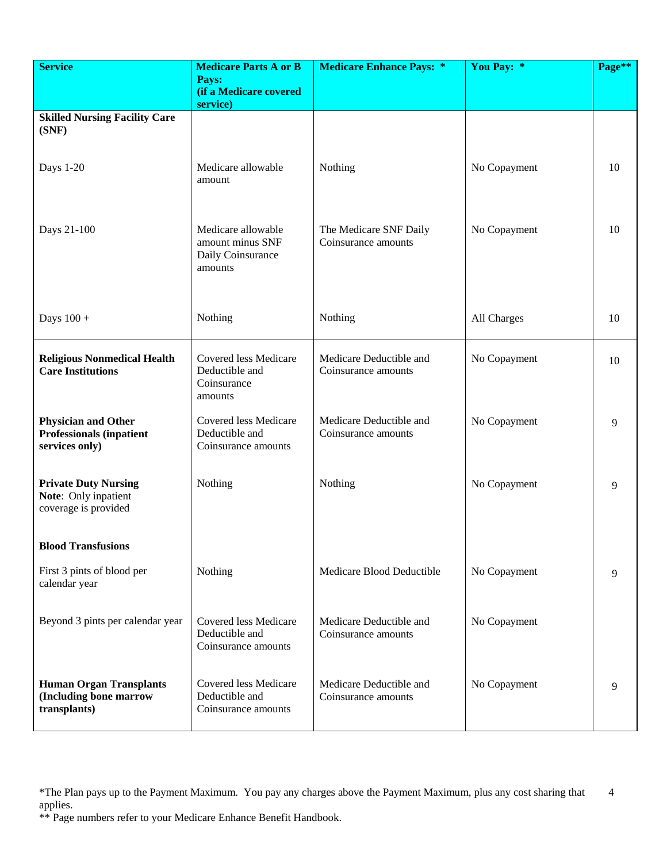| <b>Service</b>                                                                  | <b>Medicare Parts A or B</b><br>Pays:<br>(if a Medicare covered        | <b>Medicare Enhance Pays: *</b>                | You Pay: *   | Page** |
|---------------------------------------------------------------------------------|------------------------------------------------------------------------|------------------------------------------------|--------------|--------|
| <b>Skilled Nursing Facility Care</b>                                            | service)                                                               |                                                |              |        |
| (SNF)                                                                           |                                                                        |                                                |              |        |
| Days 1-20                                                                       | Medicare allowable<br>amount                                           | Nothing                                        | No Copayment | 10     |
| Days 21-100                                                                     | Medicare allowable<br>amount minus SNF<br>Daily Coinsurance<br>amounts | The Medicare SNF Daily<br>Coinsurance amounts  | No Copayment | 10     |
| Days $100 +$                                                                    | Nothing                                                                | Nothing                                        | All Charges  | 10     |
| <b>Religious Nonmedical Health</b><br><b>Care Institutions</b>                  | Covered less Medicare<br>Deductible and<br>Coinsurance<br>amounts      | Medicare Deductible and<br>Coinsurance amounts | No Copayment | 10     |
| <b>Physician and Other</b><br><b>Professionals (inpatient</b><br>services only) | Covered less Medicare<br>Deductible and<br>Coinsurance amounts         | Medicare Deductible and<br>Coinsurance amounts | No Copayment | 9      |
| <b>Private Duty Nursing</b><br>Note: Only inpatient<br>coverage is provided     | Nothing                                                                | Nothing                                        | No Copayment | 9      |
| <b>Blood Transfusions</b>                                                       |                                                                        |                                                |              |        |
| First 3 pints of blood per<br>calendar year                                     | Nothing                                                                | Medicare Blood Deductible                      | No Copayment | 9      |
| Beyond 3 pints per calendar year                                                | Covered less Medicare<br>Deductible and<br>Coinsurance amounts         | Medicare Deductible and<br>Coinsurance amounts | No Copayment |        |
| <b>Human Organ Transplants</b><br>(Including bone marrow<br>transplants)        | <b>Covered less Medicare</b><br>Deductible and<br>Coinsurance amounts  | Medicare Deductible and<br>Coinsurance amounts | No Copayment | 9      |

<sup>\*</sup>The Plan pays up to the Payment Maximum. You pay any charges above the Payment Maximum, plus any cost sharing that applies. 4

<sup>\*\*</sup> Page numbers refer to your Medicare Enhance Benefit Handbook.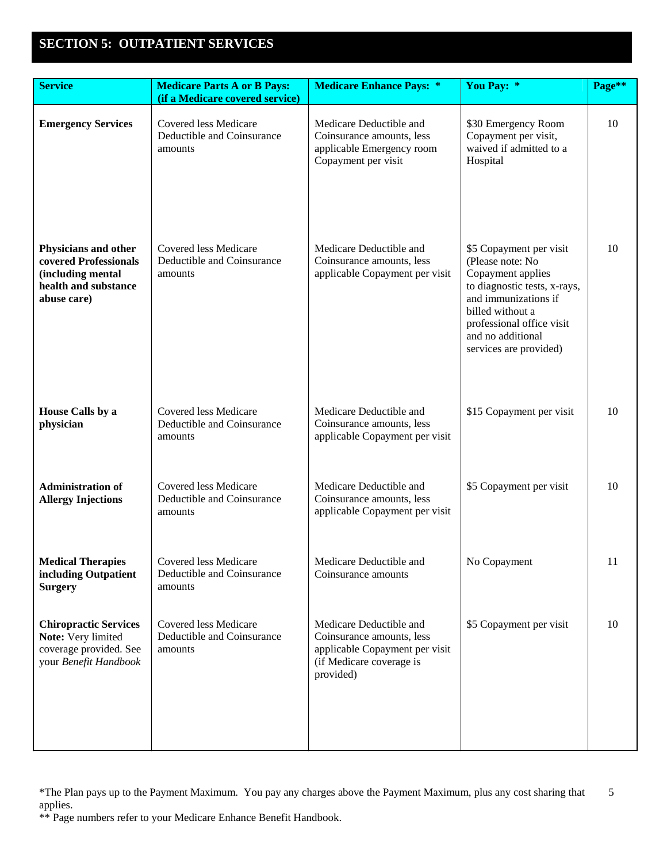# **SECTION 5: OUTPATIENT SERVICES**

| <b>Service</b>                                                                                            | <b>Medicare Parts A or B Pays:</b><br>(if a Medicare covered service) | <b>Medicare Enhance Pays: *</b>                                                                                                 | You Pay: *                                                                                                                                                                                                               | Page** |
|-----------------------------------------------------------------------------------------------------------|-----------------------------------------------------------------------|---------------------------------------------------------------------------------------------------------------------------------|--------------------------------------------------------------------------------------------------------------------------------------------------------------------------------------------------------------------------|--------|
| <b>Emergency Services</b>                                                                                 | Covered less Medicare<br>Deductible and Coinsurance<br>amounts        | Medicare Deductible and<br>Coinsurance amounts, less<br>applicable Emergency room<br>Copayment per visit                        | \$30 Emergency Room<br>Copayment per visit,<br>waived if admitted to a<br>Hospital                                                                                                                                       | 10     |
| Physicians and other<br>covered Professionals<br>(including mental<br>health and substance<br>abuse care) | <b>Covered less Medicare</b><br>Deductible and Coinsurance<br>amounts | Medicare Deductible and<br>Coinsurance amounts, less<br>applicable Copayment per visit                                          | \$5 Copayment per visit<br>(Please note: No<br>Copayment applies<br>to diagnostic tests, x-rays,<br>and immunizations if<br>billed without a<br>professional office visit<br>and no additional<br>services are provided) | 10     |
| House Calls by a<br>physician                                                                             | <b>Covered less Medicare</b><br>Deductible and Coinsurance<br>amounts | Medicare Deductible and<br>Coinsurance amounts, less<br>applicable Copayment per visit                                          | \$15 Copayment per visit                                                                                                                                                                                                 | 10     |
| <b>Administration of</b><br><b>Allergy Injections</b>                                                     | Covered less Medicare<br>Deductible and Coinsurance<br>amounts        | Medicare Deductible and<br>Coinsurance amounts, less<br>applicable Copayment per visit                                          | \$5 Copayment per visit                                                                                                                                                                                                  | 10     |
| <b>Medical Therapies</b><br>including Outpatient<br><b>Surgery</b>                                        | Covered less Medicare<br>Deductible and Coinsurance<br>amounts        | Medicare Deductible and<br>Coinsurance amounts                                                                                  | No Copayment                                                                                                                                                                                                             | 11     |
| <b>Chiropractic Services</b><br>Note: Very limited<br>coverage provided. See<br>your Benefit Handbook     | Covered less Medicare<br>Deductible and Coinsurance<br>amounts        | Medicare Deductible and<br>Coinsurance amounts, less<br>applicable Copayment per visit<br>(if Medicare coverage is<br>provided) | \$5 Copayment per visit                                                                                                                                                                                                  | 10     |

<sup>\*</sup>The Plan pays up to the Payment Maximum. You pay any charges above the Payment Maximum, plus any cost sharing that applies. 5

<sup>\*\*</sup> Page numbers refer to your Medicare Enhance Benefit Handbook.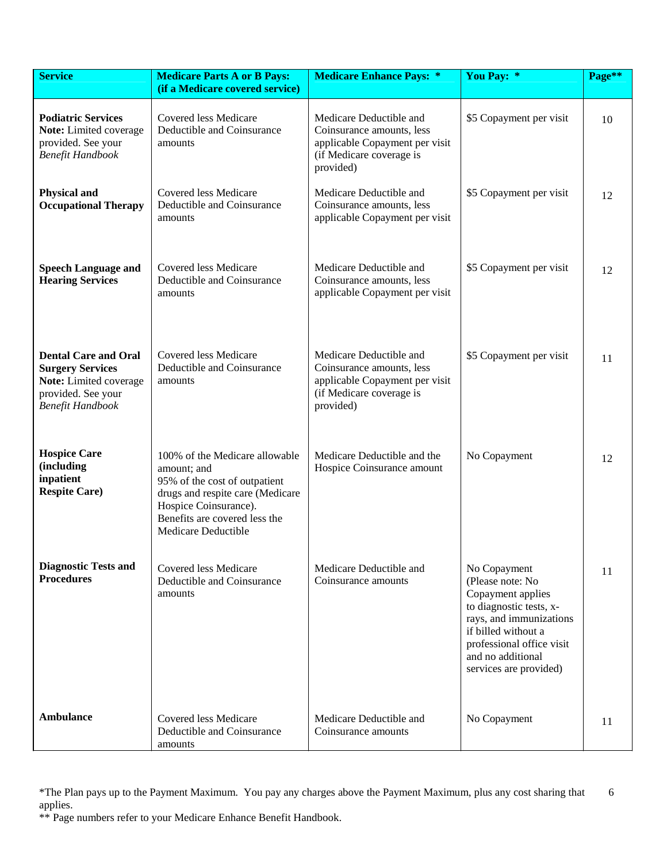| <b>Service</b>                                                                                                                    | <b>Medicare Parts A or B Pays:</b><br>(if a Medicare covered service)                                                                                                                               | <b>Medicare Enhance Pays: *</b>                                                                                                 | You Pay: *                                                                                                                                                                                                     | Page** |
|-----------------------------------------------------------------------------------------------------------------------------------|-----------------------------------------------------------------------------------------------------------------------------------------------------------------------------------------------------|---------------------------------------------------------------------------------------------------------------------------------|----------------------------------------------------------------------------------------------------------------------------------------------------------------------------------------------------------------|--------|
| <b>Podiatric Services</b><br>Note: Limited coverage<br>provided. See your<br><b>Benefit Handbook</b>                              | Covered less Medicare<br>Deductible and Coinsurance<br>amounts                                                                                                                                      | Medicare Deductible and<br>Coinsurance amounts, less<br>applicable Copayment per visit<br>(if Medicare coverage is<br>provided) | \$5 Copayment per visit                                                                                                                                                                                        | 10     |
| <b>Physical and</b><br><b>Occupational Therapy</b>                                                                                | <b>Covered less Medicare</b><br>Deductible and Coinsurance<br>amounts                                                                                                                               | Medicare Deductible and<br>Coinsurance amounts, less<br>applicable Copayment per visit                                          | \$5 Copayment per visit                                                                                                                                                                                        | 12     |
| <b>Speech Language and</b><br><b>Hearing Services</b>                                                                             | <b>Covered less Medicare</b><br>Deductible and Coinsurance<br>amounts                                                                                                                               | Medicare Deductible and<br>Coinsurance amounts, less<br>applicable Copayment per visit                                          | \$5 Copayment per visit                                                                                                                                                                                        | 12     |
| <b>Dental Care and Oral</b><br><b>Surgery Services</b><br>Note: Limited coverage<br>provided. See your<br><b>Benefit Handbook</b> | Covered less Medicare<br>Deductible and Coinsurance<br>amounts                                                                                                                                      | Medicare Deductible and<br>Coinsurance amounts, less<br>applicable Copayment per visit<br>(if Medicare coverage is<br>provided) | \$5 Copayment per visit                                                                                                                                                                                        | 11     |
| <b>Hospice Care</b><br>(including<br>inpatient<br><b>Respite Care)</b>                                                            | 100% of the Medicare allowable<br>amount; and<br>95% of the cost of outpatient<br>drugs and respite care (Medicare<br>Hospice Coinsurance).<br>Benefits are covered less the<br>Medicare Deductible | Medicare Deductible and the<br>Hospice Coinsurance amount                                                                       | No Copayment                                                                                                                                                                                                   | 12     |
| <b>Diagnostic Tests and</b><br><b>Procedures</b>                                                                                  | Covered less Medicare<br>Deductible and Coinsurance<br>amounts                                                                                                                                      | Medicare Deductible and<br>Coinsurance amounts                                                                                  | No Copayment<br>(Please note: No<br>Copayment applies<br>to diagnostic tests, x-<br>rays, and immunizations<br>if billed without a<br>professional office visit<br>and no additional<br>services are provided) | 11     |
| <b>Ambulance</b>                                                                                                                  | <b>Covered less Medicare</b><br>Deductible and Coinsurance<br>amounts                                                                                                                               | Medicare Deductible and<br>Coinsurance amounts                                                                                  | No Copayment                                                                                                                                                                                                   | 11     |

<sup>\*</sup>The Plan pays up to the Payment Maximum. You pay any charges above the Payment Maximum, plus any cost sharing that applies. 6

<sup>\*\*</sup> Page numbers refer to your Medicare Enhance Benefit Handbook.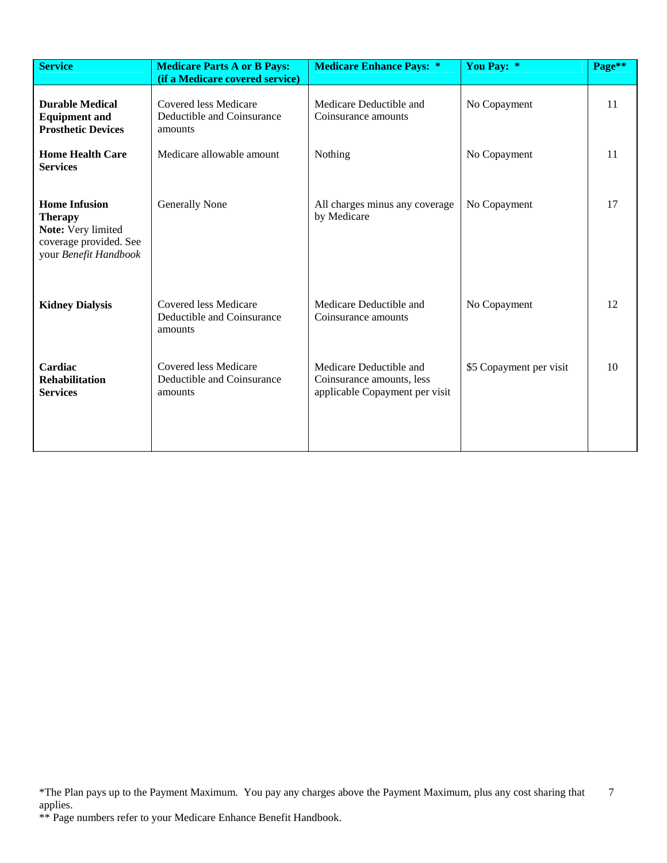| <b>Service</b>                                                                                                  | <b>Medicare Parts A or B Pays:</b><br>(if a Medicare covered service) | <b>Medicare Enhance Pays: *</b>                                                        | You Pay: *              | Page** |
|-----------------------------------------------------------------------------------------------------------------|-----------------------------------------------------------------------|----------------------------------------------------------------------------------------|-------------------------|--------|
| <b>Durable Medical</b><br><b>Equipment and</b><br><b>Prosthetic Devices</b>                                     | Covered less Medicare<br>Deductible and Coinsurance<br>amounts        | Medicare Deductible and<br>Coinsurance amounts                                         | No Copayment            | 11     |
| <b>Home Health Care</b><br><b>Services</b>                                                                      | Medicare allowable amount                                             | Nothing                                                                                | No Copayment            | 11     |
| <b>Home Infusion</b><br><b>Therapy</b><br>Note: Very limited<br>coverage provided. See<br>your Benefit Handbook | <b>Generally None</b>                                                 | All charges minus any coverage<br>by Medicare                                          | No Copayment            | 17     |
| <b>Kidney Dialysis</b>                                                                                          | Covered less Medicare<br>Deductible and Coinsurance<br>amounts        | Medicare Deductible and<br>Coinsurance amounts                                         | No Copayment            | 12     |
| Cardiac<br><b>Rehabilitation</b><br><b>Services</b>                                                             | Covered less Medicare<br>Deductible and Coinsurance<br>amounts        | Medicare Deductible and<br>Coinsurance amounts, less<br>applicable Copayment per visit | \$5 Copayment per visit | 10     |

<sup>\*</sup>The Plan pays up to the Payment Maximum. You pay any charges above the Payment Maximum, plus any cost sharing that applies. 7

<sup>\*\*</sup> Page numbers refer to your Medicare Enhance Benefit Handbook.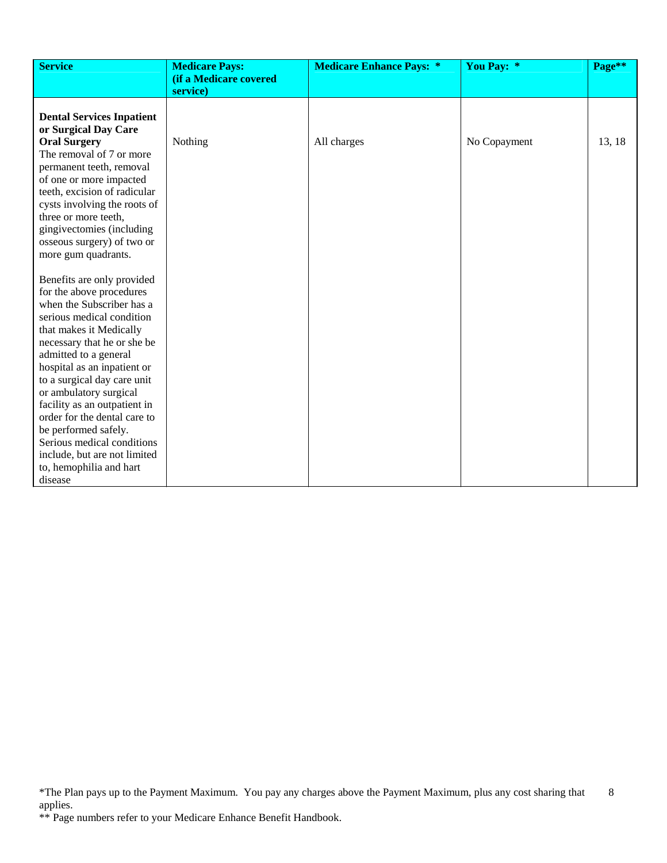| <b>Service</b>                                       | <b>Medicare Pays:</b><br>(if a Medicare covered | <b>Medicare Enhance Pays: *</b> | You Pay: *   | Page** |
|------------------------------------------------------|-------------------------------------------------|---------------------------------|--------------|--------|
|                                                      | service)                                        |                                 |              |        |
|                                                      |                                                 |                                 |              |        |
| <b>Dental Services Inpatient</b>                     |                                                 |                                 |              |        |
| or Surgical Day Care                                 |                                                 |                                 |              |        |
| <b>Oral Surgery</b>                                  | Nothing                                         | All charges                     | No Copayment | 13, 18 |
| The removal of 7 or more                             |                                                 |                                 |              |        |
| permanent teeth, removal                             |                                                 |                                 |              |        |
| of one or more impacted                              |                                                 |                                 |              |        |
| teeth, excision of radicular                         |                                                 |                                 |              |        |
| cysts involving the roots of                         |                                                 |                                 |              |        |
| three or more teeth,                                 |                                                 |                                 |              |        |
| gingivectomies (including                            |                                                 |                                 |              |        |
| osseous surgery) of two or                           |                                                 |                                 |              |        |
| more gum quadrants.                                  |                                                 |                                 |              |        |
|                                                      |                                                 |                                 |              |        |
| Benefits are only provided                           |                                                 |                                 |              |        |
| for the above procedures                             |                                                 |                                 |              |        |
| when the Subscriber has a                            |                                                 |                                 |              |        |
| serious medical condition                            |                                                 |                                 |              |        |
| that makes it Medically                              |                                                 |                                 |              |        |
| necessary that he or she be                          |                                                 |                                 |              |        |
| admitted to a general<br>hospital as an inpatient or |                                                 |                                 |              |        |
| to a surgical day care unit                          |                                                 |                                 |              |        |
| or ambulatory surgical                               |                                                 |                                 |              |        |
| facility as an outpatient in                         |                                                 |                                 |              |        |
| order for the dental care to                         |                                                 |                                 |              |        |
| be performed safely.                                 |                                                 |                                 |              |        |
| Serious medical conditions                           |                                                 |                                 |              |        |
| include, but are not limited                         |                                                 |                                 |              |        |
| to, hemophilia and hart                              |                                                 |                                 |              |        |
| disease                                              |                                                 |                                 |              |        |

<sup>\*</sup>The Plan pays up to the Payment Maximum. You pay any charges above the Payment Maximum, plus any cost sharing that applies. 8

<sup>\*\*</sup> Page numbers refer to your Medicare Enhance Benefit Handbook.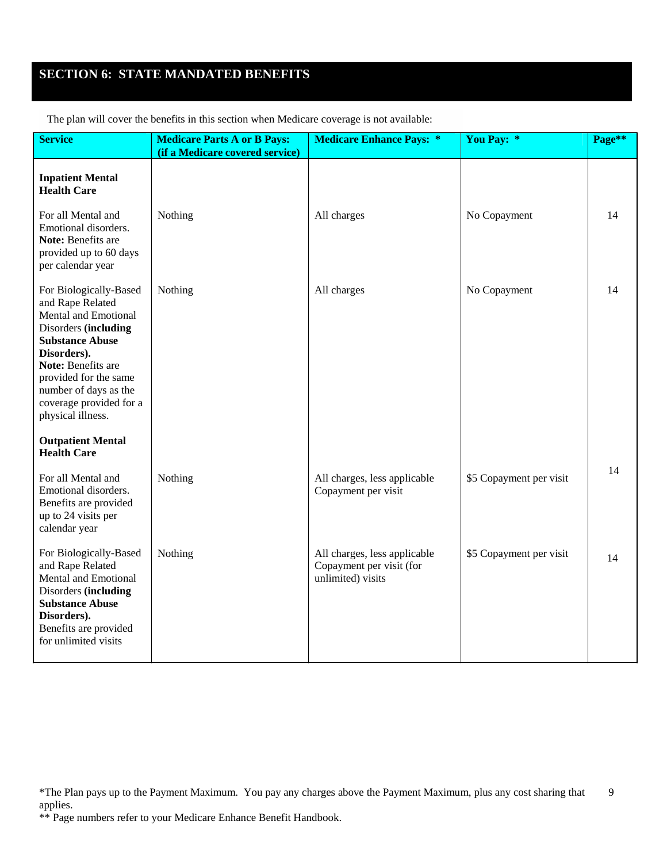# **SECTION 6: STATE MANDATED BENEFITS**

| <b>Service</b>                                                                                                                                                                                                                                                     | <b>Medicare Parts A or B Pays:</b><br>(if a Medicare covered service) | <b>Medicare Enhance Pays: *</b>                                               | You Pay: *              | Page** |
|--------------------------------------------------------------------------------------------------------------------------------------------------------------------------------------------------------------------------------------------------------------------|-----------------------------------------------------------------------|-------------------------------------------------------------------------------|-------------------------|--------|
| <b>Inpatient Mental</b><br><b>Health Care</b>                                                                                                                                                                                                                      |                                                                       |                                                                               |                         |        |
| For all Mental and<br>Emotional disorders.<br>Note: Benefits are<br>provided up to 60 days<br>per calendar year                                                                                                                                                    | Nothing                                                               | All charges                                                                   | No Copayment            | 14     |
| For Biologically-Based<br>and Rape Related<br>Mental and Emotional<br>Disorders (including<br><b>Substance Abuse</b><br>Disorders).<br><b>Note: Benefits are</b><br>provided for the same<br>number of days as the<br>coverage provided for a<br>physical illness. | Nothing                                                               | All charges                                                                   | No Copayment            | 14     |
| <b>Outpatient Mental</b><br><b>Health Care</b>                                                                                                                                                                                                                     |                                                                       |                                                                               |                         |        |
| For all Mental and<br>Emotional disorders.<br>Benefits are provided<br>up to 24 visits per<br>calendar year                                                                                                                                                        | Nothing                                                               | All charges, less applicable<br>Copayment per visit                           | \$5 Copayment per visit | 14     |
| For Biologically-Based<br>and Rape Related<br>Mental and Emotional<br>Disorders (including<br><b>Substance Abuse</b><br>Disorders).<br>Benefits are provided<br>for unlimited visits                                                                               | Nothing                                                               | All charges, less applicable<br>Copayment per visit (for<br>unlimited) visits | \$5 Copayment per visit | 14     |

The plan will cover the benefits in this section when Medicare coverage is not available:

<sup>\*</sup>The Plan pays up to the Payment Maximum. You pay any charges above the Payment Maximum, plus any cost sharing that applies. 9

<sup>\*\*</sup> Page numbers refer to your Medicare Enhance Benefit Handbook.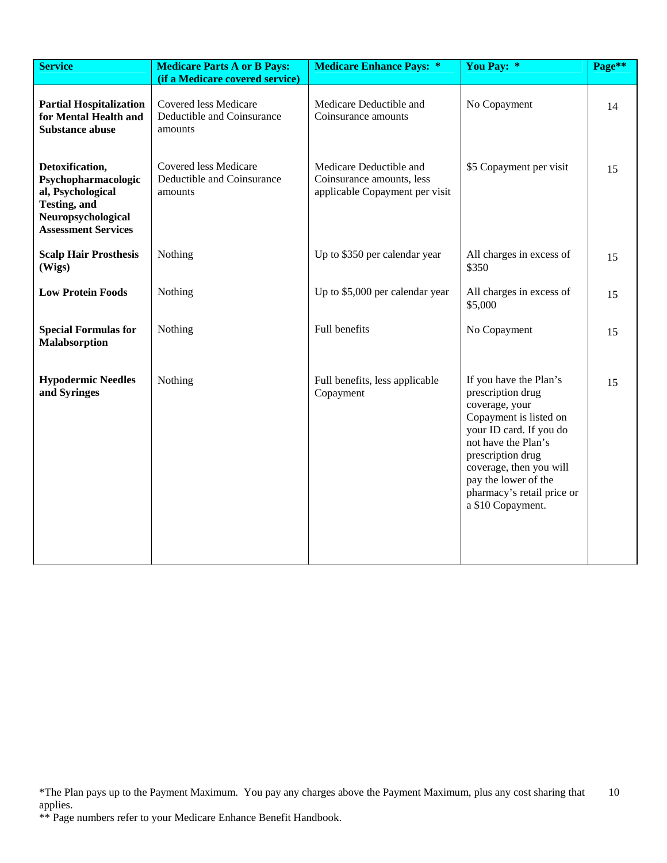| <b>Service</b>                                                                                                                          | <b>Medicare Parts A or B Pays:</b><br>(if a Medicare covered service) | <b>Medicare Enhance Pays: *</b>                                                        | You Pay: *                                                                                                                                                                                                                                                           | Page** |
|-----------------------------------------------------------------------------------------------------------------------------------------|-----------------------------------------------------------------------|----------------------------------------------------------------------------------------|----------------------------------------------------------------------------------------------------------------------------------------------------------------------------------------------------------------------------------------------------------------------|--------|
| <b>Partial Hospitalization</b><br>for Mental Health and<br><b>Substance abuse</b>                                                       | Covered less Medicare<br>Deductible and Coinsurance<br>amounts        | Medicare Deductible and<br>Coinsurance amounts                                         | No Copayment                                                                                                                                                                                                                                                         | 14     |
| Detoxification,<br>Psychopharmacologic<br>al, Psychological<br><b>Testing</b> , and<br>Neuropsychological<br><b>Assessment Services</b> | Covered less Medicare<br>Deductible and Coinsurance<br>amounts        | Medicare Deductible and<br>Coinsurance amounts, less<br>applicable Copayment per visit | \$5 Copayment per visit                                                                                                                                                                                                                                              | 15     |
| <b>Scalp Hair Prosthesis</b><br>(Wigs)                                                                                                  | Nothing                                                               | Up to \$350 per calendar year                                                          | All charges in excess of<br>\$350                                                                                                                                                                                                                                    | 15     |
| <b>Low Protein Foods</b>                                                                                                                | Nothing                                                               | Up to \$5,000 per calendar year                                                        | All charges in excess of<br>\$5,000                                                                                                                                                                                                                                  | 15     |
| <b>Special Formulas for</b><br>Malabsorption                                                                                            | Nothing                                                               | Full benefits                                                                          | No Copayment                                                                                                                                                                                                                                                         | 15     |
| <b>Hypodermic Needles</b><br>and Syringes                                                                                               | Nothing                                                               | Full benefits, less applicable<br>Copayment                                            | If you have the Plan's<br>prescription drug<br>coverage, your<br>Copayment is listed on<br>your ID card. If you do<br>not have the Plan's<br>prescription drug<br>coverage, then you will<br>pay the lower of the<br>pharmacy's retail price or<br>a \$10 Copayment. | 15     |

<sup>\*</sup>The Plan pays up to the Payment Maximum. You pay any charges above the Payment Maximum, plus any cost sharing that applies. 10

<sup>\*\*</sup> Page numbers refer to your Medicare Enhance Benefit Handbook.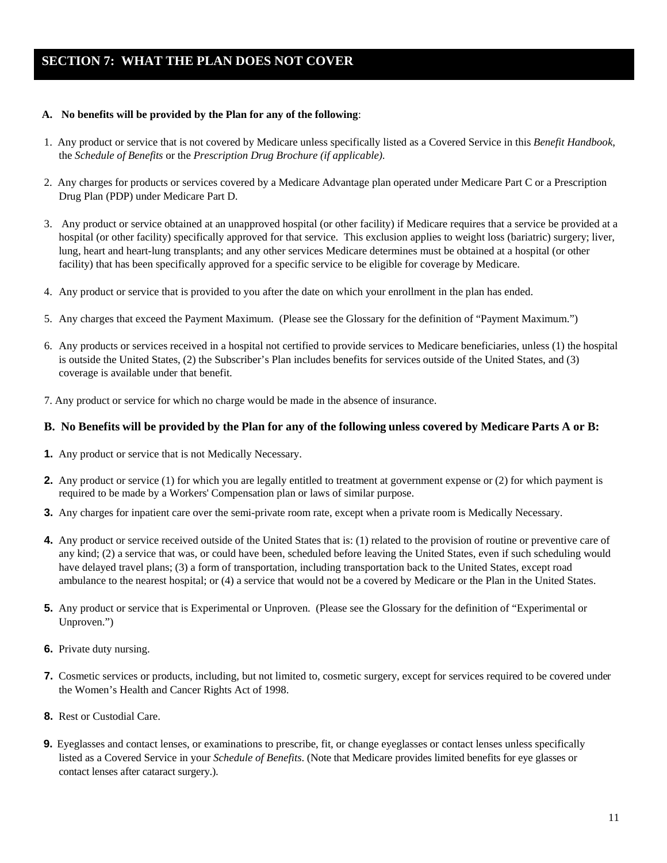# **SECTION 7: WHAT THE PLAN DOES NOT COVER**

#### **A. No benefits will be provided by the Plan for any of the following**:

- 1. Any product or service that is not covered by Medicare unless specifically listed as a Covered Service in this *Benefit Handbook*, the *Schedule of Benefits* or the *Prescription Drug Brochure (if applicable)*.
- 2. Any charges for products or services covered by a Medicare Advantage plan operated under Medicare Part C or a Prescription Drug Plan (PDP) under Medicare Part D.
- 3. Any product or service obtained at an unapproved hospital (or other facility) if Medicare requires that a service be provided at a hospital (or other facility) specifically approved for that service. This exclusion applies to weight loss (bariatric) surgery; liver, lung, heart and heart-lung transplants; and any other services Medicare determines must be obtained at a hospital (or other facility) that has been specifically approved for a specific service to be eligible for coverage by Medicare.
- 4. Any product or service that is provided to you after the date on which your enrollment in the plan has ended.
- 5. Any charges that exceed the Payment Maximum. (Please see the Glossary for the definition of "Payment Maximum.")
- 6. Any products or services received in a hospital not certified to provide services to Medicare beneficiaries, unless (1) the hospital is outside the United States, (2) the Subscriber's Plan includes benefits for services outside of the United States, and (3) coverage is available under that benefit.
- 7. Any product or service for which no charge would be made in the absence of insurance.

#### **B. No Benefits will be provided by the Plan for any of the following unless covered by Medicare Parts A or B:**

- **1.** Any product or service that is not Medically Necessary.
- **2.** Any product or service (1) for which you are legally entitled to treatment at government expense or (2) for which payment is required to be made by a Workers' Compensation plan or laws of similar purpose.
- **3.** Any charges for inpatient care over the semi-private room rate, except when a private room is Medically Necessary.
- **4.** Any product or service received outside of the United States that is: (1) related to the provision of routine or preventive care of any kind; (2) a service that was, or could have been, scheduled before leaving the United States, even if such scheduling would have delayed travel plans; (3) a form of transportation, including transportation back to the United States, except road ambulance to the nearest hospital; or (4) a service that would not be a covered by Medicare or the Plan in the United States.
- **5.** Any product or service that is Experimental or Unproven. (Please see the Glossary for the definition of "Experimental or Unproven.")
- **6.** Private duty nursing.
- **7.** Cosmetic services or products, including, but not limited to, cosmetic surgery, except for services required to be covered under the Women's Health and Cancer Rights Act of 1998.
- **8.** Rest or Custodial Care.
- **9.** Eyeglasses and contact lenses, or examinations to prescribe, fit, or change eyeglasses or contact lenses unless specifically listed as a Covered Service in your *Schedule of Benefits*. (Note that Medicare provides limited benefits for eye glasses or contact lenses after cataract surgery.).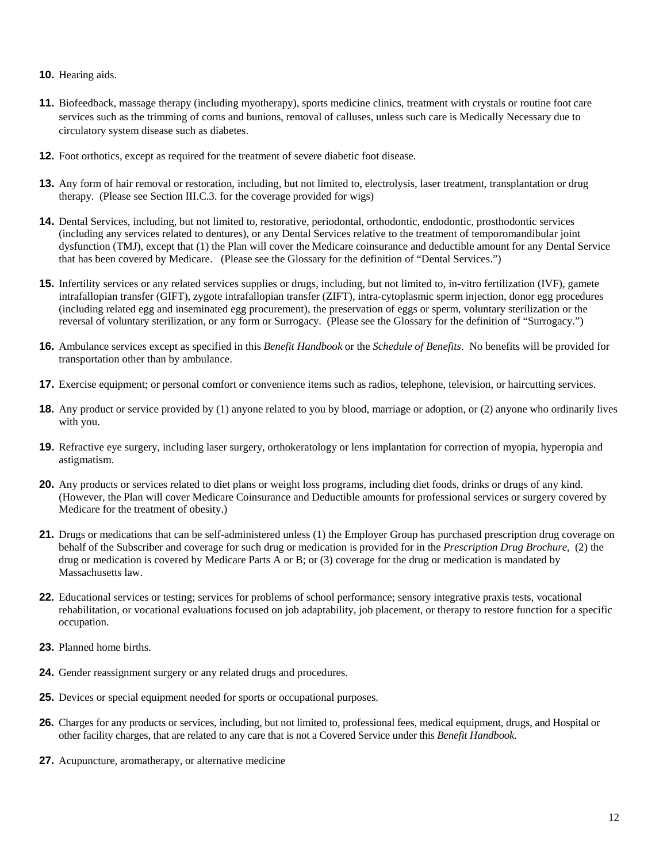- **10.** Hearing aids.
- **11.** Biofeedback, massage therapy (including myotherapy), sports medicine clinics, treatment with crystals or routine foot care services such as the trimming of corns and bunions, removal of calluses, unless such care is Medically Necessary due to circulatory system disease such as diabetes.
- **12.** Foot orthotics, except as required for the treatment of severe diabetic foot disease.
- **13.** Any form of hair removal or restoration, including, but not limited to, electrolysis, laser treatment, transplantation or drug therapy. (Please see Section III.C.3. for the coverage provided for wigs)
- **14.** Dental Services, including, but not limited to, restorative, periodontal, orthodontic, endodontic, prosthodontic services (including any services related to dentures), or any Dental Services relative to the treatment of temporomandibular joint dysfunction (TMJ), except that (1) the Plan will cover the Medicare coinsurance and deductible amount for any Dental Service that has been covered by Medicare. (Please see the Glossary for the definition of "Dental Services.")
- **15.** Infertility services or any related services supplies or drugs, including, but not limited to, in-vitro fertilization (IVF), gamete intrafallopian transfer (GIFT), zygote intrafallopian transfer (ZIFT), intra-cytoplasmic sperm injection, donor egg procedures (including related egg and inseminated egg procurement), the preservation of eggs or sperm, voluntary sterilization or the reversal of voluntary sterilization, or any form or Surrogacy. (Please see the Glossary for the definition of "Surrogacy.")
- **16.** Ambulance services except as specified in this *Benefit Handbook* or the *Schedule of Benefits*. No benefits will be provided for transportation other than by ambulance.
- **17.** Exercise equipment; or personal comfort or convenience items such as radios, telephone, television, or haircutting services.
- **18.** Any product or service provided by (1) anyone related to you by blood, marriage or adoption, or (2) anyone who ordinarily lives with you.
- **19.** Refractive eye surgery, including laser surgery, orthokeratology or lens implantation for correction of myopia, hyperopia and astigmatism.
- **20.** Any products or services related to diet plans or weight loss programs, including diet foods, drinks or drugs of any kind. (However, the Plan will cover Medicare Coinsurance and Deductible amounts for professional services or surgery covered by Medicare for the treatment of obesity.)
- **21.** Drugs or medications that can be self-administered unless (1) the Employer Group has purchased prescription drug coverage on behalf of the Subscriber and coverage for such drug or medication is provided for in the *Prescription Drug Brochure*, (2) the drug or medication is covered by Medicare Parts A or B; or (3) coverage for the drug or medication is mandated by Massachusetts law.
- **22.** Educational services or testing; services for problems of school performance; sensory integrative praxis tests, vocational rehabilitation, or vocational evaluations focused on job adaptability, job placement, or therapy to restore function for a specific occupation.
- **23.** Planned home births.
- **24.** Gender reassignment surgery or any related drugs and procedures.
- **25.** Devices or special equipment needed for sports or occupational purposes.
- **26.** Charges for any products or services, including, but not limited to, professional fees, medical equipment, drugs, and Hospital or other facility charges, that are related to any care that is not a Covered Service under this *Benefit Handbook*.
- **27.** Acupuncture, aromatherapy, or alternative medicine